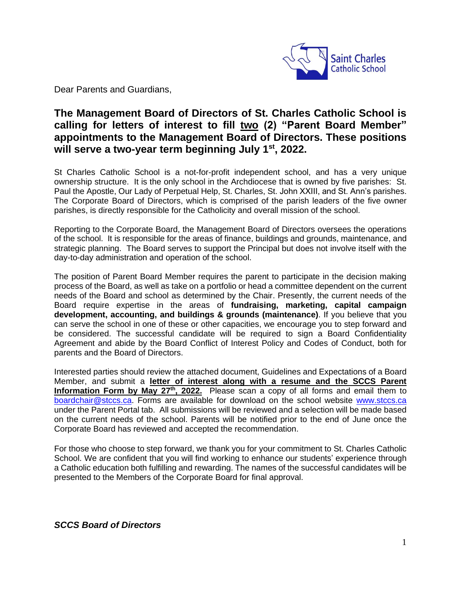

Dear Parents and Guardians,

## **The Management Board of Directors of St. Charles Catholic School is calling for letters of interest to fill two (2) "Parent Board Member" appointments to the Management Board of Directors. These positions will serve a two-year term beginning July 1st, 2022.**

St Charles Catholic School is a not-for-profit independent school, and has a very unique ownership structure. It is the only school in the Archdiocese that is owned by five parishes: St. Paul the Apostle, Our Lady of Perpetual Help, St. Charles, St. John XXIII, and St. Ann's parishes. The Corporate Board of Directors, which is comprised of the parish leaders of the five owner parishes, is directly responsible for the Catholicity and overall mission of the school.

Reporting to the Corporate Board, the Management Board of Directors oversees the operations of the school. It is responsible for the areas of finance, buildings and grounds, maintenance, and strategic planning. The Board serves to support the Principal but does not involve itself with the day-to-day administration and operation of the school.

The position of Parent Board Member requires the parent to participate in the decision making process of the Board, as well as take on a portfolio or head a committee dependent on the current needs of the Board and school as determined by the Chair. Presently, the current needs of the Board require expertise in the areas of **fundraising, marketing, capital campaign development, accounting, and buildings & grounds (maintenance)**. If you believe that you can serve the school in one of these or other capacities, we encourage you to step forward and be considered. The successful candidate will be required to sign a Board Confidentiality Agreement and abide by the Board Conflict of Interest Policy and Codes of Conduct, both for parents and the Board of Directors.

Interested parties should review the attached document, Guidelines and Expectations of a Board Member, and submit a **letter of interest along with a resume and the SCCS Parent Information Form by May 27th, 2022.** Please scan a copy of all forms and email them to [boardchair@stccs.ca.](mailto:boardchair@stccs.ca) Forms are available for download on the school website [www.stccs.ca](http://www.stccs.ca/) under the Parent Portal tab. All submissions will be reviewed and a selection will be made based on the current needs of the school. Parents will be notified prior to the end of June once the Corporate Board has reviewed and accepted the recommendation.

For those who choose to step forward, we thank you for your commitment to St. Charles Catholic School. We are confident that you will find working to enhance our students' experience through a Catholic education both fulfilling and rewarding. The names of the successful candidates will be presented to the Members of the Corporate Board for final approval.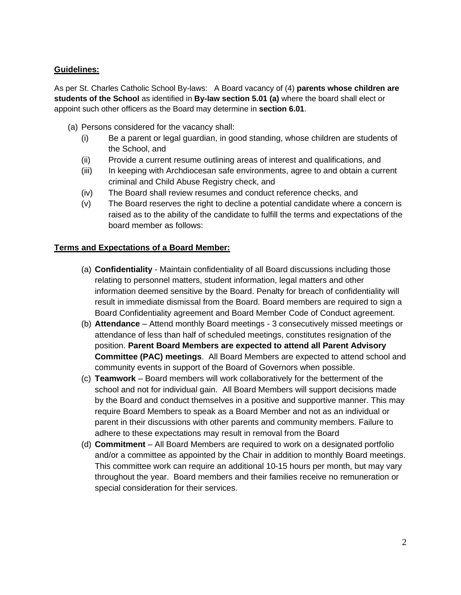## **Guidelines:**

As per St. Charles Catholic School By-laws: A Board vacancy of (4) **parents whose children are students of the School** as identified in **By-law section 5.01 (a)** where the board shall elect or appoint such other officers as the Board may determine in **section 6.01**.

- (a) Persons considered for the vacancy shall:
	- (i) Be a parent or legal guardian, in good standing, whose children are students of the School, and
	- (ii) Provide a current resume outlining areas of interest and qualifications, and
	- (iii) In keeping with Archdiocesan safe environments, agree to and obtain a current criminal and Child Abuse Registry check, and
	- (iv) The Board shall review resumes and conduct reference checks, and
	- (v) The Board reserves the right to decline a potential candidate where a concern is raised as to the ability of the candidate to fulfill the terms and expectations of the board member as follows:

## **Terms and Expectations of a Board Member:**

- (a) **Confidentiality**  Maintain confidentiality of all Board discussions including those relating to personnel matters, student information, legal matters and other information deemed sensitive by the Board. Penalty for breach of confidentiality will result in immediate dismissal from the Board. Board members are required to sign a Board Confidentiality agreement and Board Member Code of Conduct agreement.
- (b) **Attendance**  Attend monthly Board meetings 3 consecutively missed meetings or attendance of less than half of scheduled meetings, constitutes resignation of the position. **Parent Board Members are expected to attend all Parent Advisory Committee (PAC) meetings**. All Board Members are expected to attend school and community events in support of the Board of Governors when possible.
- (c) **Teamwork** Board members will work collaboratively for the betterment of the school and not for individual gain. All Board Members will support decisions made by the Board and conduct themselves in a positive and supportive manner. This may require Board Members to speak as a Board Member and not as an individual or parent in their discussions with other parents and community members. Failure to adhere to these expectations may result in removal from the Board
- (d) **Commitment**  All Board Members are required to work on a designated portfolio and/or a committee as appointed by the Chair in addition to monthly Board meetings. This committee work can require an additional 10-15 hours per month, but may vary throughout the year. Board members and their families receive no remuneration or special consideration for their services.